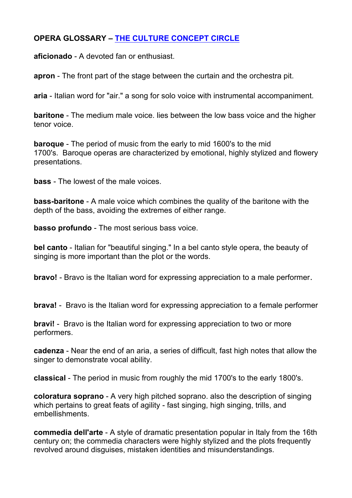## **OPERA GLOSSARY – THE CULTURE CONCEPT CIRCLE**

**aficionado** - A devoted fan or enthusiast.

**apron** - The front part of the stage between the curtain and the orchestra pit.

**aria** - Italian word for "air." a song for solo voice with instrumental accompaniment.

**baritone** - The medium male voice. lies between the low bass voice and the higher tenor voice.

**baroque** - The period of music from the early to mid 1600's to the mid 1700's. Baroque operas are characterized by emotional, highly stylized and flowery presentations.

**bass** - The lowest of the male voices.

**bass-baritone** - A male voice which combines the quality of the baritone with the depth of the bass, avoiding the extremes of either range.

**basso profundo** - The most serious bass voice.

**bel canto** - Italian for "beautiful singing." In a bel canto style opera, the beauty of singing is more important than the plot or the words.

**bravo!** - Bravo is the Italian word for expressing appreciation to a male performer.

**brava!** - Bravo is the Italian word for expressing appreciation to a female performer

**bravi!** - Bravo is the Italian word for expressing appreciation to two or more performers.

**cadenza** - Near the end of an aria, a series of difficult, fast high notes that allow the singer to demonstrate vocal ability.

**classical** - The period in music from roughly the mid 1700's to the early 1800's.

**coloratura soprano** - A very high pitched soprano. also the description of singing which pertains to great feats of agility - fast singing, high singing, trills, and embellishments.

**commedia dell'arte** - A style of dramatic presentation popular in Italy from the 16th century on; the commedia characters were highly stylized and the plots frequently revolved around disguises, mistaken identities and misunderstandings.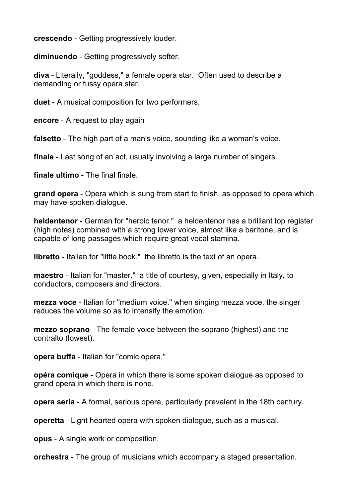**crescendo** - Getting progressively louder.

**diminuendo** - Getting progressively softer.

**diva** - Literally, "goddess," a female opera star. Often used to describe a demanding or fussy opera star.

**duet** - A musical composition for two performers.

**encore** - A request to play again

**falsetto** - The high part of a man's voice, sounding like a woman's voice.

**finale** - Last song of an act, usually involving a large number of singers.

**finale ultimo** - The final finale.

**grand opera** - Opera which is sung from start to finish, as opposed to opera which may have spoken dialogue.

**heldentenor** - German for "heroic tenor." a heldentenor has a brilliant top register (high notes) combined with a strong lower voice, almost like a baritone, and is capable of long passages which require great vocal stamina.

**libretto** - Italian for "little book." the libretto is the text of an opera.

**maestro** - Italian for "master." a title of courtesy, given, especially in Italy, to conductors, composers and directors.

**mezza voce** - Italian for "medium voice." when singing mezza voce, the singer reduces the volume so as to intensify the emotion.

**mezzo soprano** - The female voice between the soprano (highest) and the contralto (lowest).

**opera buffa** - Italian for "comic opera."

**opéra comique** - Opera in which there is some spoken dialogue as opposed to grand opera in which there is none.

**opera seria** - A formal, serious opera, particularly prevalent in the 18th century.

**operetta** - Light hearted opera with spoken dialogue, such as a musical.

**opus** - A single work or composition.

**orchestra** - The group of musicians which accompany a staged presentation.